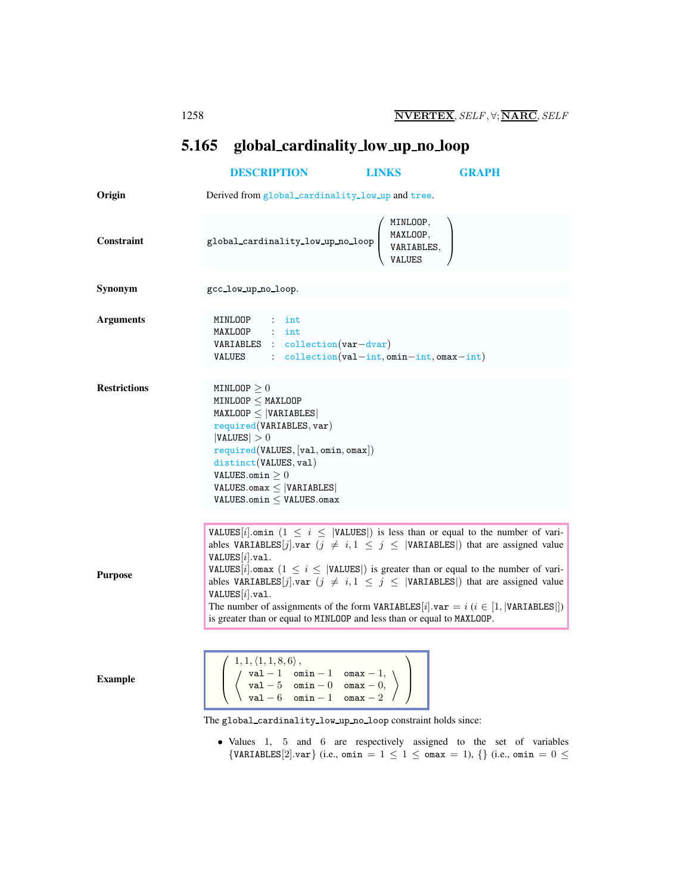## <span id="page-0-0"></span>5.165 global cardinality low up no loop

## [DESCRIPTION](#page-0-0) [LINKS](#page-1-0) [GRAPH](#page-2-0) Origin Derived from global\_cardinality\_low\_up and tree. Constraint global cardinality low up no loop  $\sqrt{ }$  $\overline{\phantom{a}}$ MINLOOP, MAXLOOP, VARIABLES, VALUES  $\setminus$  $\Big\}$ Synonym gcc\_low\_up\_no\_loop. Arguments MINLOOP : int MAXLOOP : int VARIABLES : collection(var−dvar) VALUES : collection(val−int, omin−int, omax−int) **Restrictions** MINLOOP  $\geq 0$  $MINLOOP \leq MAXLOOP$  $MAXLOOP \leq |VARIABLES|$ required(VARIABLES, var)  $|VALUES| > 0$ required(VALUES, [val, omin, omax]) distinct(VALUES, val) <code>VALUES.omin  $\geq 0$ </code> VALUES.omax ≤ |VARIABLES| <code>VALUES.omin  $\leq$  VALUES.omax</code> Purpose VALUES[i].omin ( $1 \le i \le$  |VALUES]) is less than or equal to the number of variables VARIABLES[j].var  $(j \neq i, 1 \leq j \leq |VARTABLES|)$  that are assigned value  $VALUES[i].val.$ VALUES[i].omax  $(1 \le i \le |$ VALUES[]) is greater than or equal to the number of variables VARIABLES[j].var  $(j \neq i, 1 \leq j \leq |VARTABLES|)$  that are assigned value  $VALUES[i].val.$ The number of assignments of the form VARIABLES[i].var = i (i  $\in$  [1, |VARIABLES]]) is greater than or equal to MINLOOP and less than or equal to MAXLOOP. Example  $\sqrt{ }$  $\overline{\phantom{a}}$  $1, 1, \langle 1, 1, 8, 6 \rangle$ , val − 1 omin − 1 omax − 1,<br>val − 5 omin − 0 omax − 0. val − 5 omin − 0 omax − 0,<br>val − 6 omin − 1 omax − 2  $val - 6$  omin - 1  $\setminus$  $\setminus$  $\overline{\phantom{a}}$

The global cardinality low up no loop constraint holds since:

• Values 1, 5 and 6 are respectively assigned to the set of variables  $\{VARIABLES[2].var\}$  (i.e., omin =  $1 \leq 1 \leq$  omax = 1),  $\{\}$  (i.e., omin =  $0 \leq$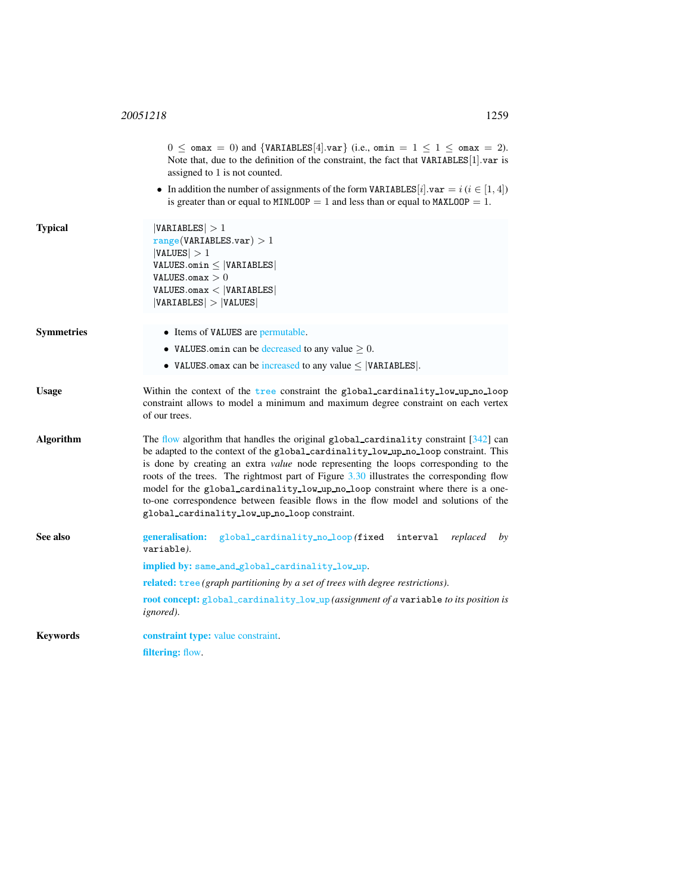<span id="page-1-0"></span>

|                  | $0 \leq$ omax = 0) and {VARIABLES[4].var} (i.e., omin = $1 \leq 1 \leq$ omax = 2).<br>Note that, due to the definition of the constraint, the fact that VARIABLES[1] var is<br>assigned to 1 is not counted.                                                                                                                                                                                                                                                                                                                                                                                        |  |
|------------------|-----------------------------------------------------------------------------------------------------------------------------------------------------------------------------------------------------------------------------------------------------------------------------------------------------------------------------------------------------------------------------------------------------------------------------------------------------------------------------------------------------------------------------------------------------------------------------------------------------|--|
|                  | • In addition the number of assignments of the form VARIABLES [i]. $var = i$ ( $i \in [1, 4]$ )<br>is greater than or equal to MINLOOP = 1 and less than or equal to MAXLOOP = 1.                                                                                                                                                                                                                                                                                                                                                                                                                   |  |
| <b>Typical</b>   | VARIABLES  > 1<br>range(VARIABLES.var) > 1<br> VALUES  > 1<br>$VALUES.min \leq  VARIABLES $<br>VALUES.omax $>0$<br>VALUES.max <  VARIABLES <br> VARIABLES  >  VALUES                                                                                                                                                                                                                                                                                                                                                                                                                                |  |
| Symmetries       | • Items of VALUES are permutable.                                                                                                                                                                                                                                                                                                                                                                                                                                                                                                                                                                   |  |
|                  | • VALUES omin can be decreased to any value $\geq 0$ .                                                                                                                                                                                                                                                                                                                                                                                                                                                                                                                                              |  |
|                  | • VALUES omax can be increased to any value $\leq$ [VARIABLES].                                                                                                                                                                                                                                                                                                                                                                                                                                                                                                                                     |  |
| <b>Usage</b>     | Within the context of the tree constraint the global_cardinality_low_up_no_loop<br>constraint allows to model a minimum and maximum degree constraint on each vertex<br>of our trees.                                                                                                                                                                                                                                                                                                                                                                                                               |  |
| <b>Algorithm</b> | The flow algorithm that handles the original global_cardinality constraint $[342]$ can<br>be adapted to the context of the global_cardinality_low_up_no_loop constraint. This<br>is done by creating an extra <i>value</i> node representing the loops corresponding to the<br>roots of the trees. The rightmost part of Figure 3.30 illustrates the corresponding flow<br>model for the global_cardinality_low_up_no_loop constraint where there is a one-<br>to-one correspondence between feasible flows in the flow model and solutions of the<br>global_cardinality_low_up_no_loop constraint. |  |
| See also         | generalisation:<br>global_cardinality_no_loop(fixed<br>interval<br>replaced<br>by<br>variable).                                                                                                                                                                                                                                                                                                                                                                                                                                                                                                     |  |
|                  | implied by: same_and_global_cardinality_low_up.                                                                                                                                                                                                                                                                                                                                                                                                                                                                                                                                                     |  |
|                  | related: tree (graph partitioning by a set of trees with degree restrictions).                                                                                                                                                                                                                                                                                                                                                                                                                                                                                                                      |  |
|                  | root concept: global_cardinality_low_up (assignment of a variable to its position is<br><i>ignored</i> ).                                                                                                                                                                                                                                                                                                                                                                                                                                                                                           |  |
| Keywords         | constraint type: value constraint.                                                                                                                                                                                                                                                                                                                                                                                                                                                                                                                                                                  |  |
|                  | <b>filtering:</b> flow.                                                                                                                                                                                                                                                                                                                                                                                                                                                                                                                                                                             |  |
|                  |                                                                                                                                                                                                                                                                                                                                                                                                                                                                                                                                                                                                     |  |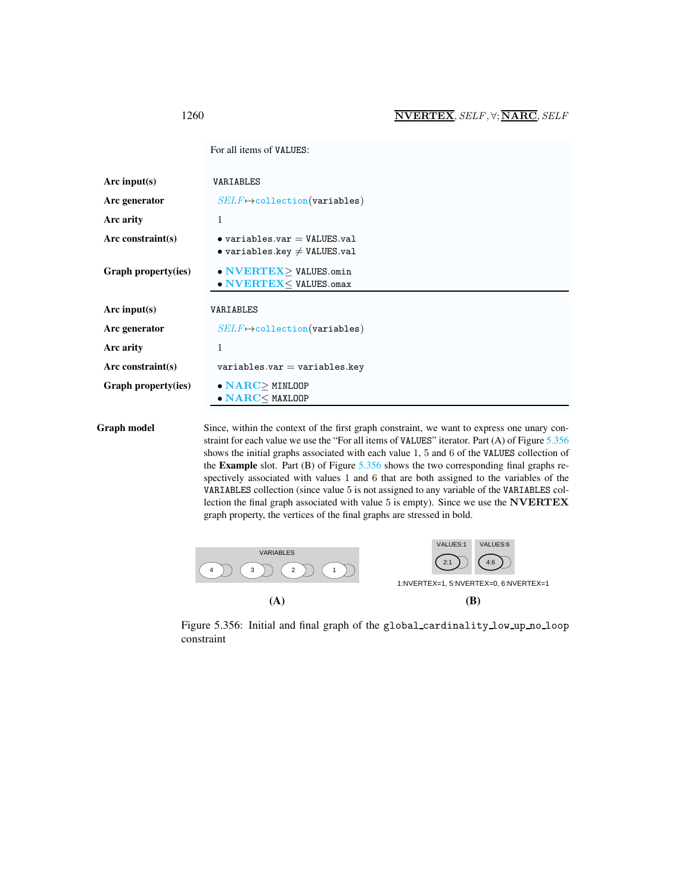<span id="page-2-0"></span>

| For all items of VALUES: |  |
|--------------------------|--|
|--------------------------|--|

| Arc input $(s)$      | VARIABLES                                                                             |
|----------------------|---------------------------------------------------------------------------------------|
| Arc generator        | $SELF \mapsto$ collection(variables)                                                  |
| Arc arity            | 1                                                                                     |
| Arc constraint $(s)$ | $\bullet$ variables.var = VALUES.val<br>• variables.key $\neq$ VALUES.val             |
| Graph property(ies)  | $\bullet$ NVERTEX $\geq$ VALUES.omin<br>• NVERTEX <values.omax< th=""></values.omax<> |
| Arc input( $s$ )     | VARIABLES                                                                             |
| Arc generator        | $SELF \mapsto$ collection(variables)                                                  |
| Arc arity            | 1                                                                                     |
| Arc constraint(s)    | $variables.var = variables.key$                                                       |
| Graph property(ies)  | $\bullet$ NARC > MINLOOP<br>$\bullet$ NARC $\leq$ MAXLOOP                             |

Graph model Since, within the context of the first graph constraint, we want to express one unary constraint for each value we use the "For all items of VALUES" iterator. Part (A) of Figure [5.356](#page-2-1) shows the initial graphs associated with each value 1, 5 and 6 of the VALUES collection of the Example slot. Part (B) of Figure [5.356](#page-2-1) shows the two corresponding final graphs respectively associated with values 1 and 6 that are both assigned to the variables of the VARIABLES collection (since value 5 is not assigned to any variable of the VARIABLES collection the final graph associated with value 5 is empty). Since we use the NVERTEX graph property, the vertices of the final graphs are stressed in bold.



<span id="page-2-1"></span>Figure 5.356: Initial and final graph of the global cardinality low up no loop constraint